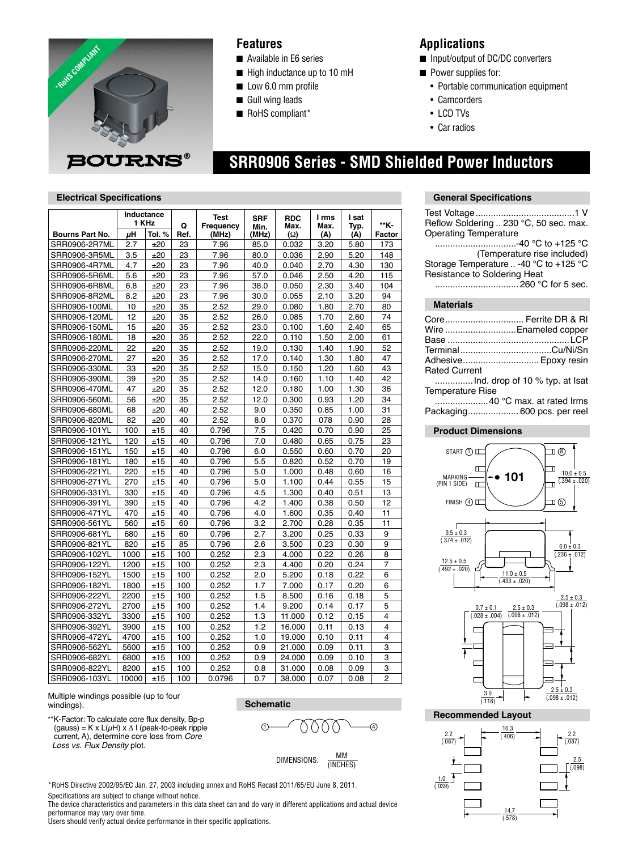

### **Features**

- Available in E6 series
- $\blacksquare$  High inductance up to 10 mH
- **Low 6.0 mm profile**
- **n** Gull wing leads
- RoHS compliant\*

### **Applications**

- Input/output of DC/DC converters
- **n** Power supplies for:
	- Portable communication equipment
- Camcorders
- LCD TVs
- Car radios

# **SRR0906 Series - SMD Shielded Power Inductors**

### **Electrical Specifications**

|                        | Inductance<br>1 KHz |        | Q    | <b>Test</b><br>Frequency | <b>SRF</b>    | <b>RDC</b><br>Max. | I rms<br>Max. | l sat<br>Typ. | **K-           |
|------------------------|---------------------|--------|------|--------------------------|---------------|--------------------|---------------|---------------|----------------|
| <b>Bourns Part No.</b> | uΗ                  | Tol. % | Ref. | (MHz)                    | Min.<br>(MHz) | (Ω)                | (A)           | (A)           | Factor         |
| SRR0906-2R7ML          | 2.7                 | ±20    | 23   | 7.96                     | 85.0          | 0.032              | 3.20          | 5.80          | 173            |
| SRR0906-3R5ML          | 3.5                 | ±20    | 23   | 7.96                     | 80.0          | 0.036              | 2.90          | 5.20          | 148            |
| SRR0906-4R7ML          | 4.7                 | ±20    | 23   | 7.96                     | 40.0          | 0.040              | 2.70          | 4.30          | 130            |
| SRR0906-5R6ML          | 5.6                 | ±20    | 23   | 7.96                     | 57.0          | 0.046              | 2.50          | 4.20          | 115            |
| SRR0906-6R8ML          | 6.8                 | ±20    | 23   | 7.96                     | 38.0          | 0.050              | 2.30          | 3.40          | 104            |
| SRR0906-8R2ML          | 8.2                 | ±20    | 23   | 7.96                     | 30.0          | 0.055              | 2.10          | 3.20          | 94             |
| SRR0906-100ML          | 10                  | ±20    | 35   | 2.52                     | 29.0          | 0.080              | 1.80          | 2.70          | 80             |
| SRR0906-120ML          | 12                  | ±20    | 35   | 2.52                     | 26.0          | 0.085              | 1.70          | 2.60          | 74             |
| SRR0906-150ML          | 15                  | ±20    | 35   | 2.52                     | 23.0          | 0.100              | 1.60          | 2.40          | 65             |
| SRR0906-180ML          | 18                  | ±20    | 35   | 2.52                     | 22.0          | 0.110              | 1.50          | 2.00          | 61             |
| SRR0906-220ML          | 22                  | ±20    | 35   | 2.52                     | 19.0          | 0.130              | 1.40          | 1.90          | 52             |
| SRR0906-270ML          | 27                  | ±20    | 35   | 2.52                     | 17.0          | 0.140              | 1.30          | 1.80          | 47             |
| SRR0906-330ML          | 33                  | ±20    | 35   | 2.52                     | 15.0          | 0.150              | 1.20          | 1.60          | 43             |
| SRR0906-390ML          | 39                  | ±20    | 35   | 2.52                     | 14.0          | 0.160              | 1.10          | 1.40          | 42             |
| SRR0906-470ML          | 47                  | ±20    | 35   | 2.52                     | 12.0          | 0.180              | 1.00          | 1.30          | 36             |
| SRR0906-560ML          | 56                  | ±20    | 35   | 2.52                     | 12.0          | 0.300              | 0.93          | 1.20          | 34             |
| SRR0906-680ML          | 68                  | ±20    | 40   | 2.52                     | 9.0           | 0.350              | 0.85          | 1.00          | 31             |
| SRR0906-820ML          | 82                  | ±20    | 40   | 2.52                     | 8.0           | 0.370              | 078           | 0.90          | 28             |
| SRR0906-101YL          | 100                 | ±15    | 40   | 0.796                    | 7.5           | 0.420              | 0.70          | 0.90          | 25             |
| SRR0906-121YL          | 120                 | ±15    | 40   | 0.796                    | 7.0           | 0.480              | 0.65          | 0.75          | 23             |
| SRR0906-151YL          | 150                 | ±15    | 40   | 0.796                    | 6.0           | 0.550              | 0.60          | 0.70          | 20             |
| SRR0906-181YL          | 180                 | ±15    | 40   | 0.796                    | 5.5           | 0.820              | 0.52          | 0.70          | 19             |
| SRR0906-221YL          | 220                 | ±15    | 40   | 0.796                    | 5.0           | 1.000              | 0.48          | 0.60          | 16             |
| SRR0906-271YL          | 270                 | ±15    | 40   | 0.796                    | 5.0           | 1.100              | 0.44          | 0.55          | 15             |
| SRR0906-331YL          | 330                 | ±15    | 40   | 0.796                    | 4.5           | 1.300              | 0.40          | 0.51          | 13             |
| SRR0906-391YL          | 390                 | ±15    | 40   | 0.796                    | 4.2           | 1.400              | 0.38          | 0.50          | 12             |
| SRR0906-471YL          | 470                 | ±15    | 40   | 0.796                    | 4.0           | 1.600              | 0.35          | 0.40          | 11             |
| SRR0906-561YL          | 560                 | ±15    | 60   | 0.796                    | 3.2           | 2.700              | 0.28          | 0.35          | 11             |
| SRR0906-681YL          | 680                 | ±15    | 60   | 0.796                    | 2.7           | 3.200              | 0.25          | 0.33          | 9              |
| SRR0906-821YL          | 820                 | ±15    | 85   | 0.796                    | 2.6           | 3.500              | 0.23          | 0.30          | 9              |
| SRR0906-102YL          | 1000                | ±15    | 100  | 0.252                    | 2.3           | 4.000              | 0.22          | 0.26          | 8              |
| SRR0906-122YL          | 1200                | ±15    | 100  | 0.252                    | 2.3           | 4.400              | 0.20          | 0.24          | 7              |
| SRR0906-152YL          | 1500                | ±15    | 100  | 0.252                    | 2.0           | 5.200              | 0.18          | 0.22          | 6              |
| SRR0906-182YL          | 1800                | ±15    | 100  | 0.252                    | 1.7           | 7.000              | 0.17          | 0.20          | 6              |
| SRR0906-222YL          | 2200                | ±15    | 100  | 0.252                    | 1.5           | 8.500              | 0.16          | 0.18          | 5              |
| SRR0906-272YL          | 2700                | ±15    | 100  | 0.252                    | 1.4           | 9.200              | 0.14          | 0.17          | 5              |
| SRR0906-332YL          | 3300                | ±15    | 100  | 0.252                    | 1.3           | 11.000             | 0.12          | 0.15          | 4              |
| SRR0906-392YL          | 3900                | ±15    | 100  | 0.252                    | 1.2           | 16.000             | 0.11          | 0.13          | 4              |
| SRR0906-472YL          | 4700                | ±15    | 100  | 0.252                    | 1.0           | 19.000             | 0.10          | 0.11          | 4              |
| SRR0906-562YL          | 5600                | ±15    | 100  | 0.252                    | 0.9           | 21.000             | 0.09          | 0.11          | 3              |
| SRR0906-682YL          | 6800                | ±15    | 100  | 0.252                    | 0.9           | 24.000             | 0.09          | 0.10          | 3              |
| SRR0906-822YL          | 8200                | ±15    | 100  | 0.252                    | 0.8           | 31.000             | 0.08          | 0.09          | 3              |
| SRR0906-103YL          | 10000               | ±15    | 100  | 0.0796                   | 0.7           | 38.000             | 0.07          | 0.08          | $\overline{2}$ |

Multiple windings possible (up to four windings).

\*\*K-Factor: To calculate core flux density, Bp-p  $(gauss) = K \times L(\mu H) \times \Delta I$  (peak-to-peak ripple current, A), determine core loss from *Core Loss vs. Flux Density* plot.

**Schematic**

$$
\begin{matrix}\n0 & 0 \\
0 & 0 \\
0 & 0\n\end{matrix}
$$

$$
DIMENSIONS: \quad \frac{MM}{(INCHES)}
$$

\*RoHS Directive 2002/95/EC Jan. 27, 2003 including annex and RoHS Recast 2011/65/EU June 8, 2011.

Specifications are subject to change without notice.

The device characteristics and parameters in this data sheet can and do vary in different applications and actual device performance may vary over time.

Users should verify actual device performance in their specific applications.



| <b>Operating Temperature</b>                    | Reflow Soldering  230 °C, 50 sec. max.                                                                                          |  |  |  |  |  |
|-------------------------------------------------|---------------------------------------------------------------------------------------------------------------------------------|--|--|--|--|--|
| Resistance to Soldering Heat                    | …………………………-40 °C to +125 °C<br>(Temperature rise included)<br>Storage Temperature  -40 °C to +125 °C                            |  |  |  |  |  |
| <b>Materials</b>                                |                                                                                                                                 |  |  |  |  |  |
| <b>Rated Current</b><br><b>Temperature Rise</b> | Core Ferrite DR & RI<br>Wire Enameled copper<br>Adhesive Epoxy resin<br>40 °C max. at rated Irms<br>Packaging 600 pcs. per reel |  |  |  |  |  |
| <b>Product Dimensions</b>                       |                                                                                                                                 |  |  |  |  |  |
| START 1 0                                       | ロ®<br>0 E                                                                                                                       |  |  |  |  |  |



**Recommended Layout**